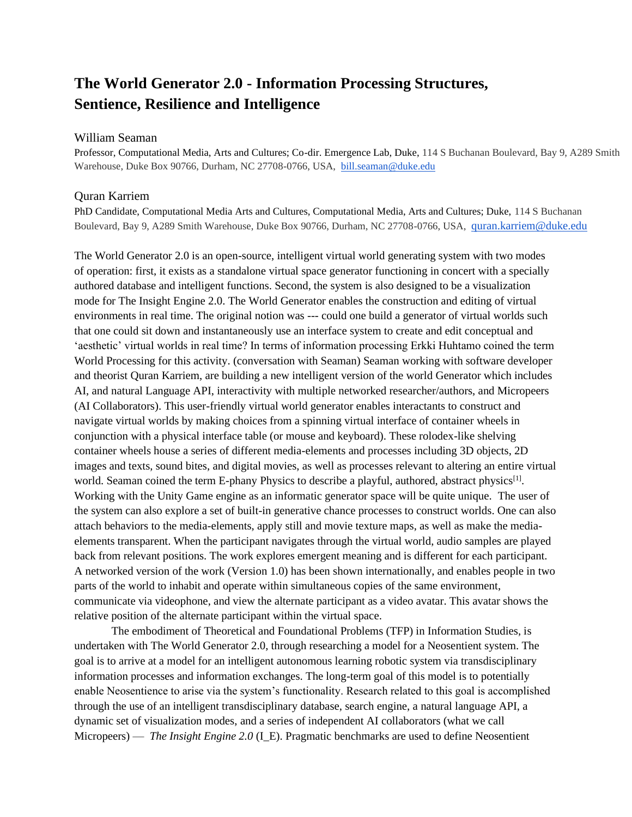## **The World Generator 2.0 - Information Processing Structures, Sentience, Resilience and Intelligence**

## William Seaman

Professor, Computational Media, Arts and Cultures; Co-dir. Emergence Lab, Duke, 114 S Buchanan Boulevard, Bay 9, A289 Smith Warehouse, Duke Box 90766, Durham, NC 27708-0766, USA, [bill.seaman@duke.edu](mailto:bill.seaman@duke.edu)

## Quran Karriem

PhD Candidate, Computational Media Arts and Cultures, Computational Media, Arts and Cultures; Duke, 114 S Buchanan Boulevard, Bay 9, A289 Smith Warehouse, Duke Box 90766, Durham, NC 27708-0766, USA, [quran.karriem@duke.edu](mailto:quran.karriem@duke.edu)

The World Generator 2.0 is an open-source, intelligent virtual world generating system with two modes of operation: first, it exists as a standalone virtual space generator functioning in concert with a specially authored database and intelligent functions. Second, the system is also designed to be a visualization mode for The Insight Engine 2.0. The World Generator enables the construction and editing of virtual environments in real time. The original notion was --- could one build a generator of virtual worlds such that one could sit down and instantaneously use an interface system to create and edit conceptual and 'aesthetic' virtual worlds in real time? In terms of information processing Erkki Huhtamo coined the term World Processing for this activity. (conversation with Seaman) Seaman working with software developer and theorist Quran Karriem, are building a new intelligent version of the world Generator which includes AI, and natural Language API, interactivity with multiple networked researcher/authors, and Micropeers (AI Collaborators). This user-friendly virtual world generator enables interactants to construct and navigate virtual worlds by making choices from a spinning virtual interface of container wheels in conjunction with a physical interface table (or mouse and keyboard). These rolodex-like shelving container wheels house a series of different media-elements and processes including 3D objects, 2D images and texts, sound bites, and digital movies, as well as processes relevant to altering an entire virtual world. Seaman coined the term E-phany Physics to describe a playful, authored, abstract physics<sup>[1]</sup>. Working with the Unity Game engine as an informatic generator space will be quite unique. The user of the system can also explore a set of built-in generative chance processes to construct worlds. One can also attach behaviors to the media-elements, apply still and movie texture maps, as well as make the mediaelements transparent. When the participant navigates through the virtual world, audio samples are played back from relevant positions. The work explores emergent meaning and is different for each participant. A networked version of the work (Version 1.0) has been shown internationally, and enables people in two parts of the world to inhabit and operate within simultaneous copies of the same environment, communicate via videophone, and view the alternate participant as a video avatar. This avatar shows the relative position of the alternate participant within the virtual space.

The embodiment of Theoretical and Foundational Problems (TFP) in Information Studies, is undertaken with The World Generator 2.0, through researching a model for a Neosentient system. The goal is to arrive at a model for an intelligent autonomous learning robotic system via transdisciplinary information processes and information exchanges. The long-term goal of this model is to potentially enable Neosentience to arise via the system's functionality. Research related to this goal is accomplished through the use of an intelligent transdisciplinary database, search engine, a natural language API, a dynamic set of visualization modes, and a series of independent AI collaborators (what we call Micropeers) — *The Insight Engine 2.0* (I\_E). Pragmatic benchmarks are used to define Neosentient